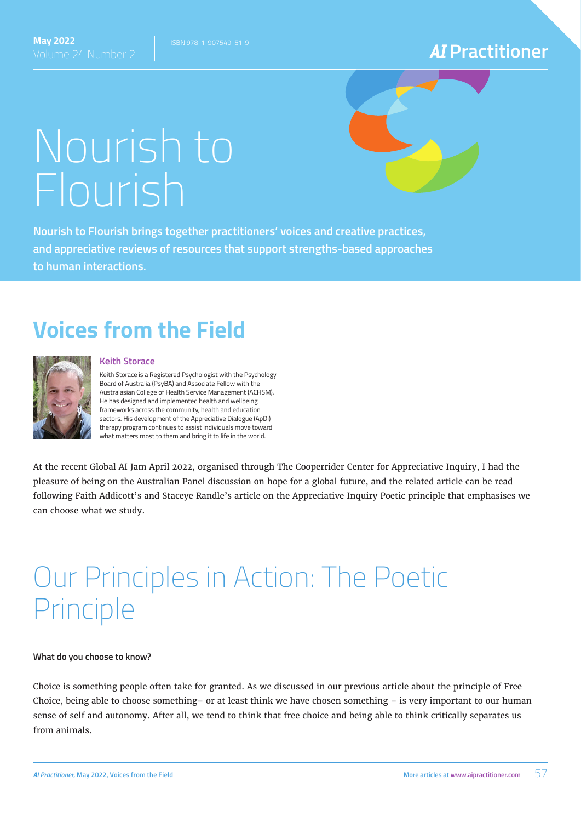Volume 24 Number 2 **Practitioner**

# Nourish to Flourish

**Nourish to Flourish brings together practitioners' voices and creative practices, and appreciative reviews of resources that support strengths-based approaches to human interactions.**

### **Voices from the Field**



#### **Keith Storace**

Keith Storace is a Registered Psychologist with the Psychology Board of Australia (PsyBA) and Associate Fellow with the Australasian College of Health Service Management (ACHSM). He has designed and implemented health and wellbeing frameworks across the community, health and education sectors. His development of the Appreciative Dialogue (ApDi) therapy program continues to assist individuals move toward what matters most to them and bring it to life in the world.

At the recent Global AI Jam April 2022, organised through The Cooperrider Center for Appreciative Inquiry, I had the pleasure of being on the Australian Panel discussion on hope for a global future, and the related article can be read following Faith Addicott's and Staceye Randle's article on the Appreciative Inquiry Poetic principle that emphasises we can choose what we study.

## Our Principles in Action: The Poetic Principle

#### **What do you choose to know?**

Choice is something people often take for granted. As we discussed in our previous article about the principle of Free Choice, being able to choose something– or at least think we have chosen something – is very important to our human sense of self and autonomy. After all, we tend to think that free choice and being able to think critically separates us from animals.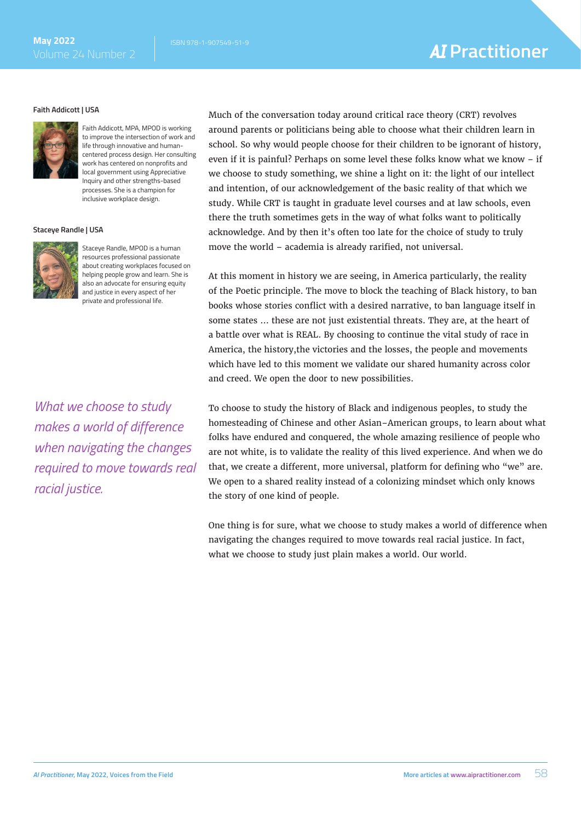#### **Faith Addicott | USA**



Faith Addicott, MPA, MPOD is working to improve the intersection of work and life through innovative and humancentered process design. Her consulting work has centered on nonprofits and local government using Appreciative Inquiry and other strengths-based processes. She is a champion for inclusive workplace design.

#### **Staceye Randle | USA**



Staceye Randle, MPOD is a human resources professional passionate about creating workplaces focused on helping people grow and learn. She is also an advocate for ensuring equity and justice in every aspect of her private and professional life.

*What we choose to study makes a world of difference when navigating the changes required to move towards real racial justice.* 

Much of the conversation today around critical race theory (CRT) revolves around parents or politicians being able to choose what their children learn in school. So why would people choose for their children to be ignorant of history, even if it is painful? Perhaps on some level these folks know what we know – if we choose to study something, we shine a light on it: the light of our intellect and intention, of our acknowledgement of the basic reality of that which we study. While CRT is taught in graduate level courses and at law schools, even there the truth sometimes gets in the way of what folks want to politically acknowledge. And by then it's often too late for the choice of study to truly move the world – academia is already rarified, not universal.

At this moment in history we are seeing, in America particularly, the reality of the Poetic principle. The move to block the teaching of Black history, to ban books whose stories conflict with a desired narrative, to ban language itself in some states … these are not just existential threats. They are, at the heart of a battle over what is REAL. By choosing to continue the vital study of race in America, the history,the victories and the losses, the people and movements which have led to this moment we validate our shared humanity across color and creed. We open the door to new possibilities.

To choose to study the history of Black and indigenous peoples, to study the homesteading of Chinese and other Asian–American groups, to learn about what folks have endured and conquered, the whole amazing resilience of people who are not white, is to validate the reality of this lived experience. And when we do that, we create a different, more universal, platform for defining who "we" are. We open to a shared reality instead of a colonizing mindset which only knows the story of one kind of people.

One thing is for sure, what we choose to study makes a world of difference when navigating the changes required to move towards real racial justice. In fact, what we choose to study just plain makes a world. Our world.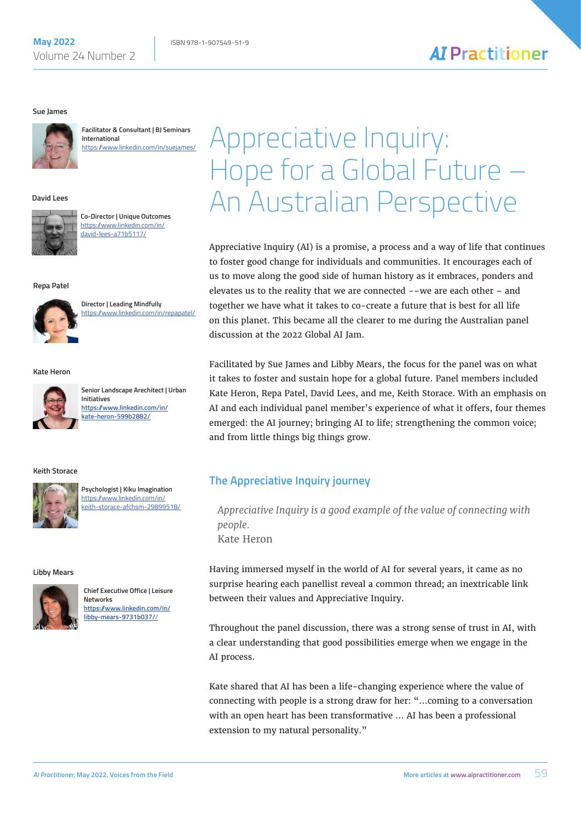#### **Sue James**



**Facilitator & Consultant | BJ Seminars International** [https://www.linkedin.com/in/suejames/](https://www.linkedin.com/in/suejames/ ) 

#### **David Lees**



**Co-Director | Unique Outcomes** [https://www.linkedin.com/in/](https://www.linkedin.com/in/david-lees-a71b5117/) [david-lees-a71b5117/](https://www.linkedin.com/in/david-lees-a71b5117/)

#### **Repa Patel**



**Director | Leading Mindfully** [https://www.linkedin.com/in/repapatel/](https://www.linkedin.com/in/repapatel/ ) 

#### **Kate Heron**



**Senior Landscape Arechitect | Urban Initiatives [https://www.linkedin.com/in/](https://www.linkedin.com/in/kate-heron-599b2882/ ) [kate-heron-599b2882/](https://www.linkedin.com/in/kate-heron-599b2882/ )**

#### **Keith Storace**



**Psychologist | Kiku Imagination** [https://www.linkedin.com/in/](https://www.linkedin.com/in/keith-storace-afchsm-29899518/) [keith-storace-afchsm-29899518/](https://www.linkedin.com/in/keith-storace-afchsm-29899518/)

#### **Libby Mears**



**Chief Executive Office | Leisure Networks [https://www.linkedin.com/in/](https://www.linkedin.com/in/libby-mears-9731b037//) [libby-mears-9731b037/](https://www.linkedin.com/in/libby-mears-9731b037//)**/

## Appreciative Inquiry: Hope for a Global Future – An Australian Perspective

**AI** Practitioner

Appreciative Inquiry (AI) is a promise, a process and a way of life that continues to foster good change for individuals and communities. It encourages each of us to move along the good side of human history as it embraces, ponders and elevates us to the reality that we are connected -–we are each other – and together we have what it takes to co-create a future that is best for all life on this planet. This became all the clearer to me during the Australian panel discussion at the 2022 Global AI Jam.

Facilitated by Sue James and Libby Mears, the focus for the panel was on what it takes to foster and sustain hope for a global future. Panel members included Kate Heron, Repa Patel, David Lees, and me, Keith Storace. With an emphasis on AI and each individual panel member's experience of what it offers, four themes emerged: the AI journey; bringing AI to life; strengthening the common voice; and from little things big things grow.

#### **The Appreciative Inquiry journey**

*Appreciative Inquiry is a good example of the value of connecting with people.* Kate Heron

Having immersed myself in the world of AI for several years, it came as no surprise hearing each panellist reveal a common thread; an inextricable link between their values and Appreciative Inquiry.

Throughout the panel discussion, there was a strong sense of trust in AI, with a clear understanding that good possibilities emerge when we engage in the AI process.

Kate shared that AI has been a life-changing experience where the value of connecting with people is a strong draw for her: "…coming to a conversation with an open heart has been transformative … AI has been a professional extension to my natural personality."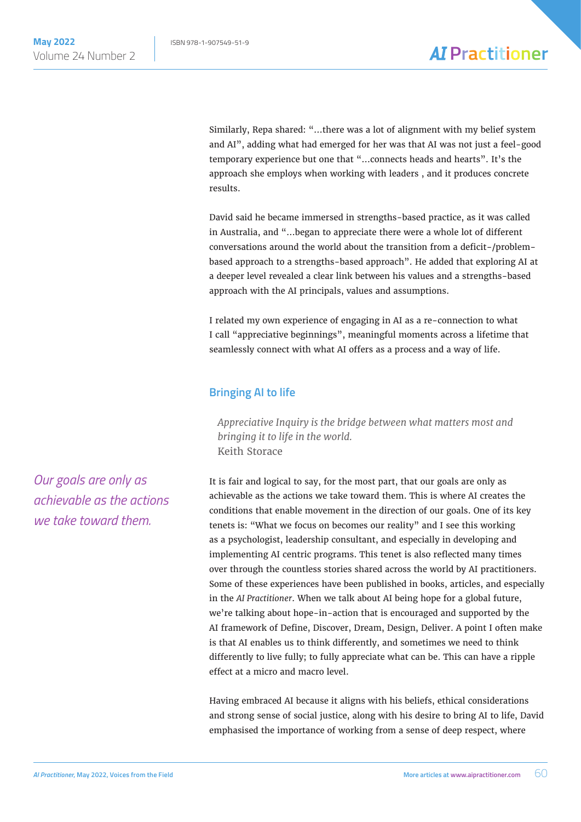Similarly, Repa shared: "…there was a lot of alignment with my belief system and AI", adding what had emerged for her was that AI was not just a feel-good temporary experience but one that "…connects heads and hearts". It's the approach she employs when working with leaders , and it produces concrete results.

David said he became immersed in strengths-based practice, as it was called in Australia, and "…began to appreciate there were a whole lot of different conversations around the world about the transition from a deficit-/problembased approach to a strengths-based approach". He added that exploring AI at a deeper level revealed a clear link between his values and a strengths-based approach with the AI principals, values and assumptions.

I related my own experience of engaging in AI as a re-connection to what I call "appreciative beginnings", meaningful moments across a lifetime that seamlessly connect with what AI offers as a process and a way of life.

#### **Bringing AI to life**

*Appreciative Inquiry is the bridge between what matters most and bringing it to life in the world.* Keith Storace

It is fair and logical to say, for the most part, that our goals are only as achievable as the actions we take toward them. This is where AI creates the conditions that enable movement in the direction of our goals. One of its key tenets is: "What we focus on becomes our reality" and I see this working as a psychologist, leadership consultant, and especially in developing and implementing AI centric programs. This tenet is also reflected many times over through the countless stories shared across the world by AI practitioners. Some of these experiences have been published in books, articles, and especially in the *AI Practitioner*. When we talk about AI being hope for a global future, we're talking about hope-in-action that is encouraged and supported by the AI framework of Define, Discover, Dream, Design, Deliver. A point I often make is that AI enables us to think differently, and sometimes we need to think differently to live fully; to fully appreciate what can be. This can have a ripple effect at a micro and macro level.

Having embraced AI because it aligns with his beliefs, ethical considerations and strong sense of social justice, along with his desire to bring AI to life, David emphasised the importance of working from a sense of deep respect, where

*Our goals are only as achievable as the actions we take toward them.*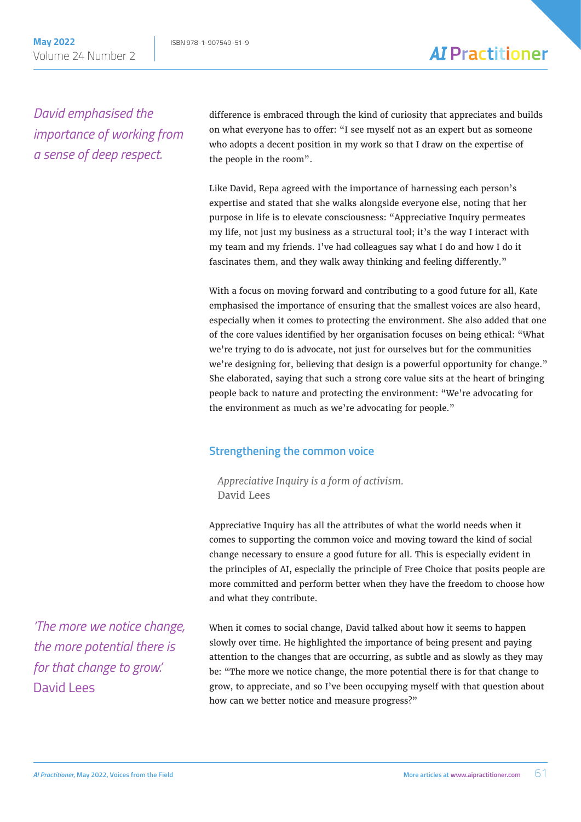*David emphasised the importance of working from a sense of deep respect.*

difference is embraced through the kind of curiosity that appreciates and builds on what everyone has to offer: "I see myself not as an expert but as someone who adopts a decent position in my work so that I draw on the expertise of the people in the room".

Like David, Repa agreed with the importance of harnessing each person's expertise and stated that she walks alongside everyone else, noting that her purpose in life is to elevate consciousness: "Appreciative Inquiry permeates my life, not just my business as a structural tool; it's the way I interact with my team and my friends. I've had colleagues say what I do and how I do it fascinates them, and they walk away thinking and feeling differently."

With a focus on moving forward and contributing to a good future for all, Kate emphasised the importance of ensuring that the smallest voices are also heard, especially when it comes to protecting the environment. She also added that one of the core values identified by her organisation focuses on being ethical: "What we're trying to do is advocate, not just for ourselves but for the communities we're designing for, believing that design is a powerful opportunity for change." She elaborated, saying that such a strong core value sits at the heart of bringing people back to nature and protecting the environment: "We're advocating for the environment as much as we're advocating for people."

#### **Strengthening the common voice**

*Appreciative Inquiry is a form of activism.* David Lees

Appreciative Inquiry has all the attributes of what the world needs when it comes to supporting the common voice and moving toward the kind of social change necessary to ensure a good future for all. This is especially evident in the principles of AI, especially the principle of Free Choice that posits people are more committed and perform better when they have the freedom to choose how and what they contribute.

When it comes to social change, David talked about how it seems to happen slowly over time. He highlighted the importance of being present and paying attention to the changes that are occurring, as subtle and as slowly as they may be: "The more we notice change, the more potential there is for that change to grow, to appreciate, and so I've been occupying myself with that question about how can we better notice and measure progress?"

*'The more we notice change, the more potential there is for that change to grow.'* David Lees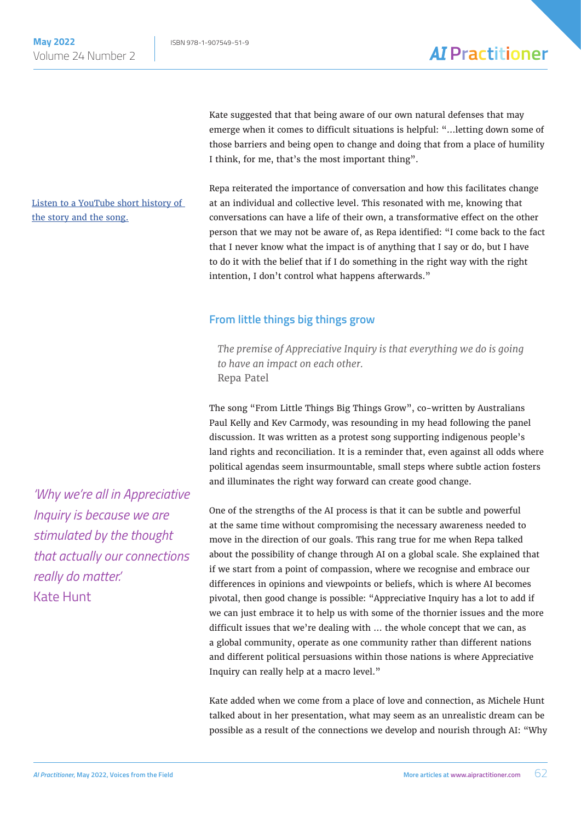[Listen to a YouTube short history of](https://www.youtube.com/watch?v=vut1ntcRMdQ&ab_channel=ReconciliationAus) 

[the story and the song.](https://www.youtube.com/watch?v=vut1ntcRMdQ&ab_channel=ReconciliationAus)

### **AI** Practitioner

Kate suggested that that being aware of our own natural defenses that may emerge when it comes to difficult situations is helpful: "…letting down some of those barriers and being open to change and doing that from a place of humility I think, for me, that's the most important thing".

Repa reiterated the importance of conversation and how this facilitates change at an individual and collective level. This resonated with me, knowing that conversations can have a life of their own, a transformative effect on the other person that we may not be aware of, as Repa identified: "I come back to the fact that I never know what the impact is of anything that I say or do, but I have to do it with the belief that if I do something in the right way with the right intention, I don't control what happens afterwards."

#### **From little things big things grow**

*The premise of Appreciative Inquiry is that everything we do is going to have an impact on each other.* Repa Patel

The song "From Little Things Big Things Grow", co-written by Australians Paul Kelly and Kev Carmody, was resounding in my head following the panel discussion. It was written as a protest song supporting indigenous people's land rights and reconciliation. It is a reminder that, even against all odds where political agendas seem insurmountable, small steps where subtle action fosters and illuminates the right way forward can create good change.

One of the strengths of the AI process is that it can be subtle and powerful at the same time without compromising the necessary awareness needed to move in the direction of our goals. This rang true for me when Repa talked about the possibility of change through AI on a global scale. She explained that if we start from a point of compassion, where we recognise and embrace our differences in opinions and viewpoints or beliefs, which is where AI becomes pivotal, then good change is possible: "Appreciative Inquiry has a lot to add if we can just embrace it to help us with some of the thornier issues and the more difficult issues that we're dealing with … the whole concept that we can, as a global community, operate as one community rather than different nations and different political persuasions within those nations is where Appreciative Inquiry can really help at a macro level."

Kate added when we come from a place of love and connection, as Michele Hunt talked about in her presentation, what may seem as an unrealistic dream can be possible as a result of the connections we develop and nourish through AI: "Why

*'Why we're all in Appreciative Inquiry is because we are stimulated by the thought that actually our connections really do matter.'* Kate Hunt